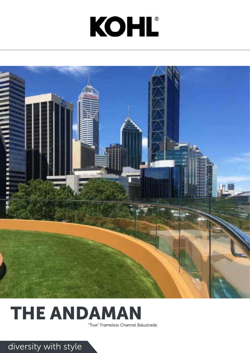# KOHL®





### THE ANDAMAN

"True" Frameless Channel Balustrade.

### diversity with style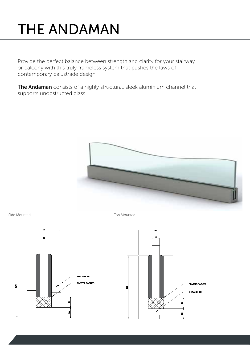Provide the perfect balance between strength and clarity for your stairway or balcony with this truly frameless system that pushes the laws of contemporary balustrade design.

The Andaman consists of a highly structural, sleek aluminium channel that supports unobstructed glass.



Side Mounted Top Mounted Top Mounted









![](_page_1_Picture_9.jpeg)

횐

## THE ANDAMAN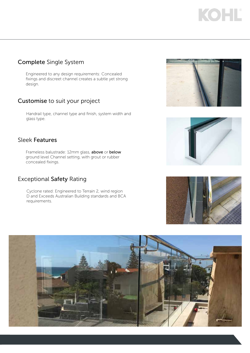#### Sleek Features

Frameless balustrade: 12mm glass, above or below ground level Channel setting, with grout or rubber concealed fixings.

#### Customise to suit your project

Handrail type, channel type and finish, system width and glass type.

![](_page_2_Picture_5.jpeg)

#### Exceptional Safety Rating

Cyclone rated: Engineered to Terrain 2, wind region D and Exceeds Australian Building standards and BCA requirements.

![](_page_2_Picture_10.jpeg)

![](_page_2_Picture_11.jpeg)

![](_page_2_Picture_12.jpeg)

![](_page_2_Picture_13.jpeg)

## KOHL

#### Complete Single System

Engineered to any design requirements: Concealed fixings and discreet channel creates a subtle yet strong design.